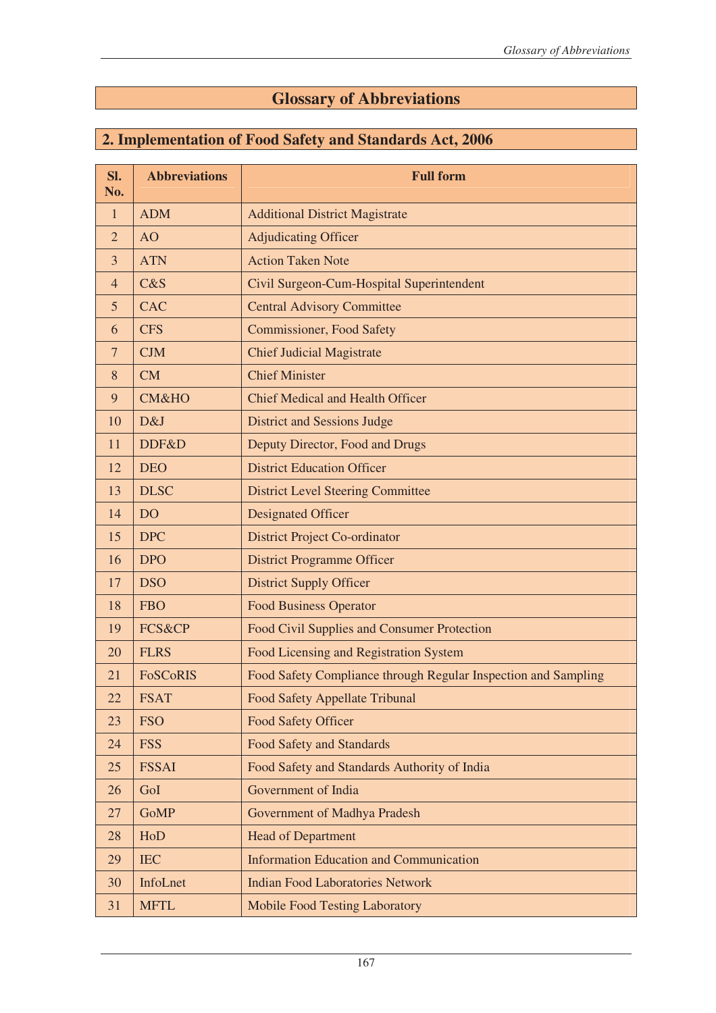## **Glossary of Abbreviations**

## **2. Implementation of Food Safety and Standards Act, 2006**

| Sl.<br>No.     | <b>Abbreviations</b> | <b>Full form</b>                                               |
|----------------|----------------------|----------------------------------------------------------------|
| $\mathbf{1}$   | <b>ADM</b>           | <b>Additional District Magistrate</b>                          |
| $\overline{2}$ | <b>AO</b>            | <b>Adjudicating Officer</b>                                    |
| 3              | <b>ATN</b>           | <b>Action Taken Note</b>                                       |
| $\overline{4}$ | C&S                  | Civil Surgeon-Cum-Hospital Superintendent                      |
| 5              | <b>CAC</b>           | <b>Central Advisory Committee</b>                              |
| 6              | <b>CFS</b>           | <b>Commissioner, Food Safety</b>                               |
| $\overline{7}$ | <b>CJM</b>           | <b>Chief Judicial Magistrate</b>                               |
| 8              | CM                   | <b>Chief Minister</b>                                          |
| 9              | <b>CM&amp;HO</b>     | <b>Chief Medical and Health Officer</b>                        |
| 10             | D&J                  | <b>District and Sessions Judge</b>                             |
| 11             | DDF&D                | Deputy Director, Food and Drugs                                |
| 12             | <b>DEO</b>           | <b>District Education Officer</b>                              |
| 13             | <b>DLSC</b>          | <b>District Level Steering Committee</b>                       |
| 14             | <b>DO</b>            | <b>Designated Officer</b>                                      |
| 15             | <b>DPC</b>           | <b>District Project Co-ordinator</b>                           |
| 16             | <b>DPO</b>           | <b>District Programme Officer</b>                              |
| 17             | <b>DSO</b>           | <b>District Supply Officer</b>                                 |
| 18             | <b>FBO</b>           | <b>Food Business Operator</b>                                  |
| 19             | FCS&CP               | Food Civil Supplies and Consumer Protection                    |
| 20             | <b>FLRS</b>          | Food Licensing and Registration System                         |
| 21             | <b>FoSCoRIS</b>      | Food Safety Compliance through Regular Inspection and Sampling |
| 22             | <b>FSAT</b>          | Food Safety Appellate Tribunal                                 |
| 23             | <b>FSO</b>           | <b>Food Safety Officer</b>                                     |
| 24             | <b>FSS</b>           | <b>Food Safety and Standards</b>                               |
| 25             | <b>FSSAI</b>         | Food Safety and Standards Authority of India                   |
| 26             | GoI                  | Government of India                                            |
| 27             | <b>GoMP</b>          | Government of Madhya Pradesh                                   |
| 28             | HoD                  | <b>Head of Department</b>                                      |
| 29             | <b>IEC</b>           | <b>Information Education and Communication</b>                 |
| 30             | InfoLnet             | <b>Indian Food Laboratories Network</b>                        |
| 31             | <b>MFTL</b>          | <b>Mobile Food Testing Laboratory</b>                          |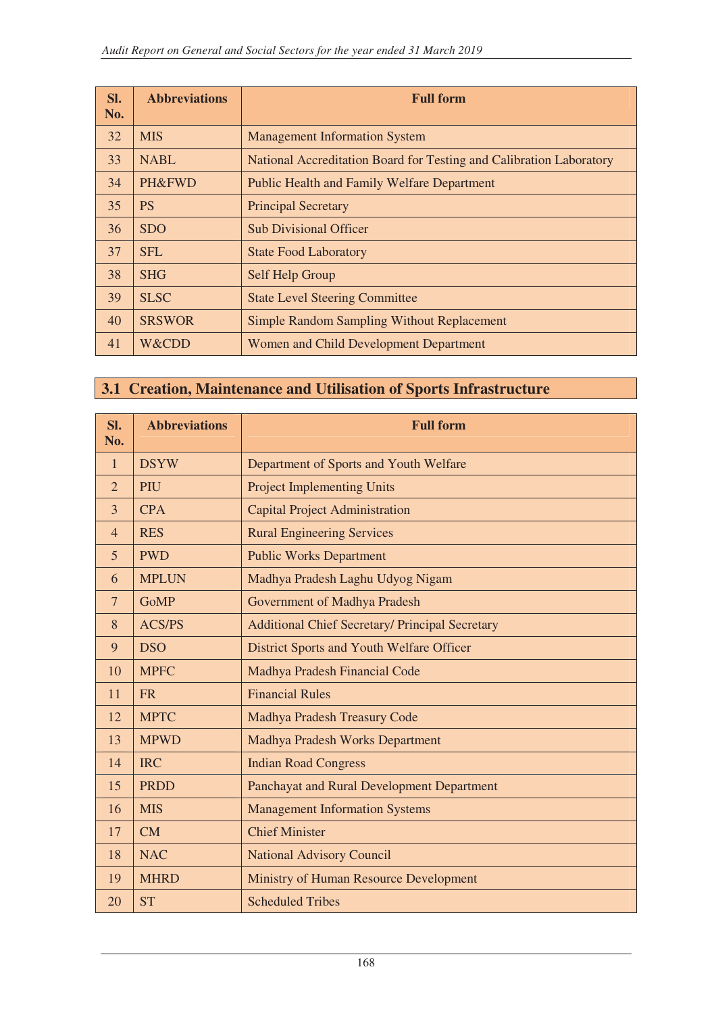| Sl.<br>No. | <b>Abbreviations</b> | <b>Full form</b>                                                    |
|------------|----------------------|---------------------------------------------------------------------|
| 32         | <b>MIS</b>           | <b>Management Information System</b>                                |
| 33         | <b>NABL</b>          | National Accreditation Board for Testing and Calibration Laboratory |
| 34         | <b>PH&amp;FWD</b>    | <b>Public Health and Family Welfare Department</b>                  |
| 35         | <b>PS</b>            | <b>Principal Secretary</b>                                          |
| 36         | <b>SDO</b>           | <b>Sub Divisional Officer</b>                                       |
| 37         | <b>SFL</b>           | <b>State Food Laboratory</b>                                        |
| 38         | <b>SHG</b>           | <b>Self Help Group</b>                                              |
| 39         | <b>SLSC</b>          | <b>State Level Steering Committee</b>                               |
| 40         | <b>SRSWOR</b>        | <b>Simple Random Sampling Without Replacement</b>                   |
| 41         | W&CDD                | Women and Child Development Department                              |

## **3.1 Creation, Maintenance and Utilisation of Sports Infrastructure**

| Sl.<br>No.     | <b>Abbreviations</b> | <b>Full form</b>                                       |
|----------------|----------------------|--------------------------------------------------------|
| $\mathbf{1}$   | <b>DSYW</b>          | Department of Sports and Youth Welfare                 |
| $\overline{2}$ | PIU                  | <b>Project Implementing Units</b>                      |
| 3              | <b>CPA</b>           | <b>Capital Project Administration</b>                  |
| $\overline{4}$ | <b>RES</b>           | <b>Rural Engineering Services</b>                      |
| 5              | <b>PWD</b>           | <b>Public Works Department</b>                         |
| 6              | <b>MPLUN</b>         | Madhya Pradesh Laghu Udyog Nigam                       |
| $\overline{7}$ | <b>GoMP</b>          | Government of Madhya Pradesh                           |
| 8              | <b>ACS/PS</b>        | <b>Additional Chief Secretary/ Principal Secretary</b> |
| 9              | <b>DSO</b>           | District Sports and Youth Welfare Officer              |
| 10             | <b>MPFC</b>          | Madhya Pradesh Financial Code                          |
| 11             | <b>FR</b>            | <b>Financial Rules</b>                                 |
| 12             | <b>MPTC</b>          | Madhya Pradesh Treasury Code                           |
| 13             | <b>MPWD</b>          | <b>Madhya Pradesh Works Department</b>                 |
| 14             | <b>IRC</b>           | <b>Indian Road Congress</b>                            |
| 15             | <b>PRDD</b>          | Panchayat and Rural Development Department             |
| 16             | <b>MIS</b>           | <b>Management Information Systems</b>                  |
| 17             | <b>CM</b>            | <b>Chief Minister</b>                                  |
| 18             | <b>NAC</b>           | <b>National Advisory Council</b>                       |
| 19             | <b>MHRD</b>          | Ministry of Human Resource Development                 |
| 20             | <b>ST</b>            | <b>Scheduled Tribes</b>                                |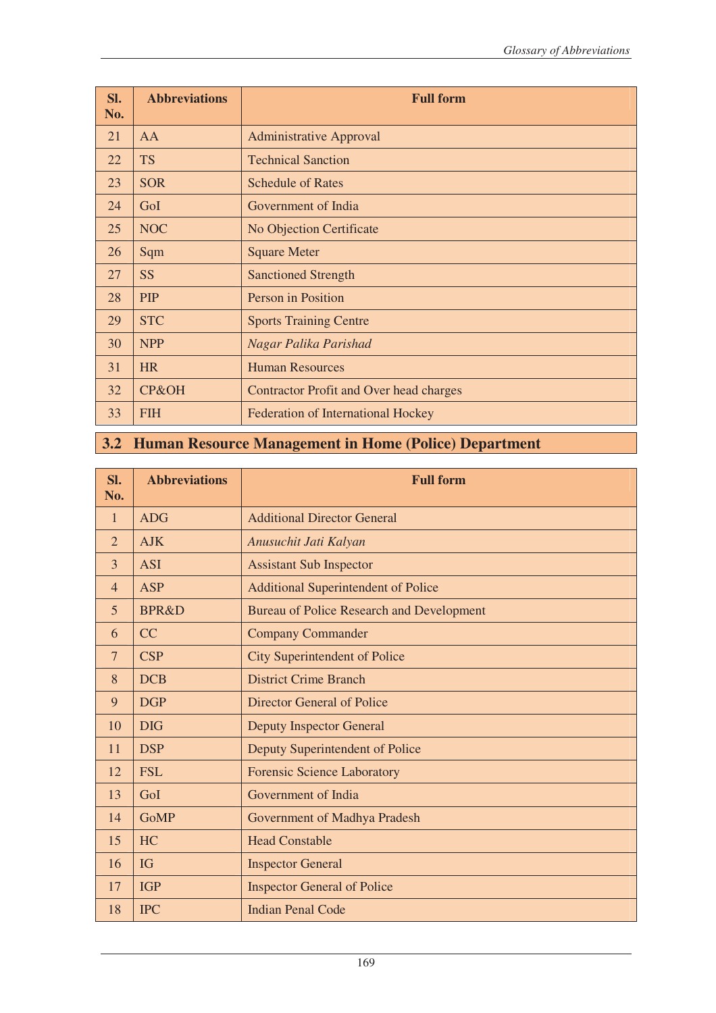| SI.<br>No. | <b>Abbreviations</b> | <b>Full form</b>                          |
|------------|----------------------|-------------------------------------------|
| 21         | AA                   | <b>Administrative Approval</b>            |
| 22         | <b>TS</b>            | <b>Technical Sanction</b>                 |
| 23         | <b>SOR</b>           | <b>Schedule of Rates</b>                  |
| 24         | GoI                  | Government of India                       |
| 25         | <b>NOC</b>           | No Objection Certificate                  |
| 26         | Sqm                  | <b>Square Meter</b>                       |
| 27         | <b>SS</b>            | <b>Sanctioned Strength</b>                |
| 28         | <b>PIP</b>           | Person in Position                        |
| 29         | <b>STC</b>           | <b>Sports Training Centre</b>             |
| 30         | <b>NPP</b>           | Nagar Palika Parishad                     |
| 31         | <b>HR</b>            | <b>Human Resources</b>                    |
| 32         | CP&OH                | Contractor Profit and Over head charges   |
| 33         | <b>FIH</b>           | <b>Federation of International Hockey</b> |

## **3.2 Human Resource Management in Home (Police) Department**

| Sl.<br>No.     | <b>Abbreviations</b> | <b>Full form</b>                           |
|----------------|----------------------|--------------------------------------------|
|                |                      |                                            |
| $\mathbf{1}$   | <b>ADG</b>           | <b>Additional Director General</b>         |
| $\overline{2}$ | <b>AJK</b>           | Anusuchit Jati Kalyan                      |
| 3              | <b>ASI</b>           | <b>Assistant Sub Inspector</b>             |
| $\overline{4}$ | <b>ASP</b>           | <b>Additional Superintendent of Police</b> |
| 5              | <b>BPR&amp;D</b>     | Bureau of Police Research and Development  |
| 6              | CC                   | <b>Company Commander</b>                   |
| 7              | <b>CSP</b>           | <b>City Superintendent of Police</b>       |
| 8              | <b>DCB</b>           | <b>District Crime Branch</b>               |
| 9              | <b>DGP</b>           | <b>Director General of Police</b>          |
| 10             | <b>DIG</b>           | <b>Deputy Inspector General</b>            |
| 11             | <b>DSP</b>           | Deputy Superintendent of Police            |
| 12             | <b>FSL</b>           | <b>Forensic Science Laboratory</b>         |
| 13             | GoI                  | Government of India                        |
| 14             | <b>GoMP</b>          | Government of Madhya Pradesh               |
| 15             | <b>HC</b>            | <b>Head Constable</b>                      |
| 16             | IG                   | <b>Inspector General</b>                   |
| 17             | <b>IGP</b>           | <b>Inspector General of Police</b>         |
| 18             | <b>IPC</b>           | <b>Indian Penal Code</b>                   |